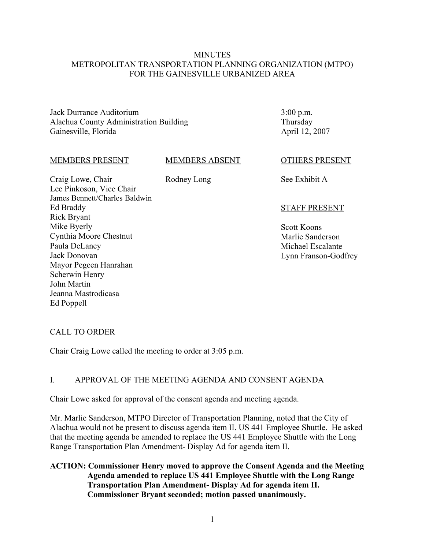### **MINUTES** METROPOLITAN TRANSPORTATION PLANNING ORGANIZATION (MTPO) FOR THE GAINESVILLE URBANIZED AREA

Jack Durrance Auditorium Alachua County Administration Building Gainesville, Florida

3:00 p.m. Thursday April 12, 2007

### MEMBERS PRESENT

### MEMBERS ABSENT

Rodney Long

Craig Lowe, Chair Lee Pinkoson, Vice Chair James Bennett/Charles Baldwin Ed Braddy Rick Bryant Mike Byerly Cynthia Moore Chestnut Paula DeLaney Jack Donovan Mayor Pegeen Hanrahan Scherwin Henry John Martin Jeanna Mastrodicasa Ed Poppell

OTHERS PRESENT

See Exhibit A

### STAFF PRESENT

Scott Koons Marlie Sanderson Michael Escalante Lynn Franson-Godfrey

# CALL TO ORDER

Chair Craig Lowe called the meeting to order at 3:05 p.m.

### I. APPROVAL OF THE MEETING AGENDA AND CONSENT AGENDA

Chair Lowe asked for approval of the consent agenda and meeting agenda.

Mr. Marlie Sanderson, MTPO Director of Transportation Planning, noted that the City of Alachua would not be present to discuss agenda item II. US 441 Employee Shuttle. He asked that the meeting agenda be amended to replace the US 441 Employee Shuttle with the Long Range Transportation Plan Amendment- Display Ad for agenda item II.

### **ACTION: Commissioner Henry moved to approve the Consent Agenda and the Meeting Agenda amended to replace US 441 Employee Shuttle with the Long Range Transportation Plan Amendment- Display Ad for agenda item II. Commissioner Bryant seconded; motion passed unanimously.**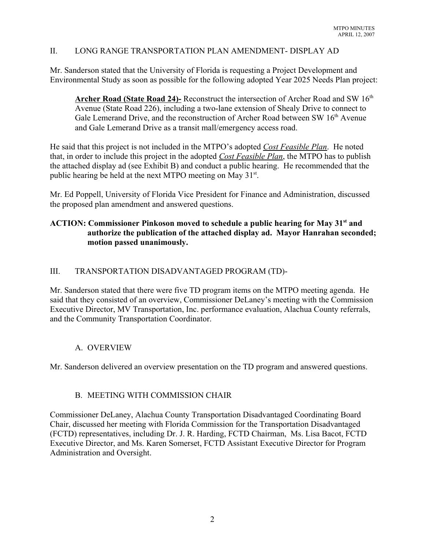### II. LONG RANGE TRANSPORTATION PLAN AMENDMENT- DISPLAY AD

Mr. Sanderson stated that the University of Florida is requesting a Project Development and Environmental Study as soon as possible for the following adopted Year 2025 Needs Plan project:

**Archer Road (State Road 24)-** Reconstruct the intersection of Archer Road and SW 16<sup>th</sup> Avenue (State Road 226), including a two-lane extension of Shealy Drive to connect to Gale Lemerand Drive, and the reconstruction of Archer Road between SW 16<sup>th</sup> Avenue and Gale Lemerand Drive as a transit mall/emergency access road.

He said that this project is not included in the MTPO's adopted *Cost Feasible Plan*. He noted that, in order to include this project in the adopted *Cost Feasible Plan*, the MTPO has to publish the attached display ad (see Exhibit B) and conduct a public hearing. He recommended that the public hearing be held at the next MTPO meeting on May 31<sup>st</sup>.

Mr. Ed Poppell, University of Florida Vice President for Finance and Administration, discussed the proposed plan amendment and answered questions.

# **ACTION: Commissioner Pinkoson moved to schedule a public hearing for May 31st and authorize the publication of the attached display ad. Mayor Hanrahan seconded; motion passed unanimously.**

### III. TRANSPORTATION DISADVANTAGED PROGRAM (TD)-

Mr. Sanderson stated that there were five TD program items on the MTPO meeting agenda. He said that they consisted of an overview, Commissioner DeLaney's meeting with the Commission Executive Director, MV Transportation, Inc. performance evaluation, Alachua County referrals, and the Community Transportation Coordinator.

# A. OVERVIEW

Mr. Sanderson delivered an overview presentation on the TD program and answered questions.

### B. MEETING WITH COMMISSION CHAIR

Commissioner DeLaney, Alachua County Transportation Disadvantaged Coordinating Board Chair, discussed her meeting with Florida Commission for the Transportation Disadvantaged (FCTD) representatives, including Dr. J. R. Harding, FCTD Chairman, Ms. Lisa Bacot, FCTD Executive Director, and Ms. Karen Somerset, FCTD Assistant Executive Director for Program Administration and Oversight.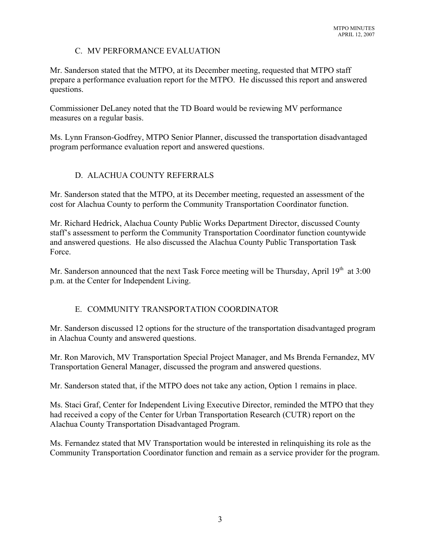# C. MV PERFORMANCE EVALUATION

Mr. Sanderson stated that the MTPO, at its December meeting, requested that MTPO staff prepare a performance evaluation report for the MTPO. He discussed this report and answered questions.

Commissioner DeLaney noted that the TD Board would be reviewing MV performance measures on a regular basis.

Ms. Lynn Franson-Godfrey, MTPO Senior Planner, discussed the transportation disadvantaged program performance evaluation report and answered questions.

# D. ALACHUA COUNTY REFERRALS

Mr. Sanderson stated that the MTPO, at its December meeting, requested an assessment of the cost for Alachua County to perform the Community Transportation Coordinator function.

Mr. Richard Hedrick, Alachua County Public Works Department Director, discussed County staff's assessment to perform the Community Transportation Coordinator function countywide and answered questions. He also discussed the Alachua County Public Transportation Task Force.

Mr. Sanderson announced that the next Task Force meeting will be Thursday, April  $19<sup>th</sup>$  at  $3:00$ p.m. at the Center for Independent Living.

# E. COMMUNITY TRANSPORTATION COORDINATOR

Mr. Sanderson discussed 12 options for the structure of the transportation disadvantaged program in Alachua County and answered questions.

Mr. Ron Marovich, MV Transportation Special Project Manager, and Ms Brenda Fernandez, MV Transportation General Manager, discussed the program and answered questions.

Mr. Sanderson stated that, if the MTPO does not take any action, Option 1 remains in place.

Ms. Staci Graf, Center for Independent Living Executive Director, reminded the MTPO that they had received a copy of the Center for Urban Transportation Research (CUTR) report on the Alachua County Transportation Disadvantaged Program.

Ms. Fernandez stated that MV Transportation would be interested in relinquishing its role as the Community Transportation Coordinator function and remain as a service provider for the program.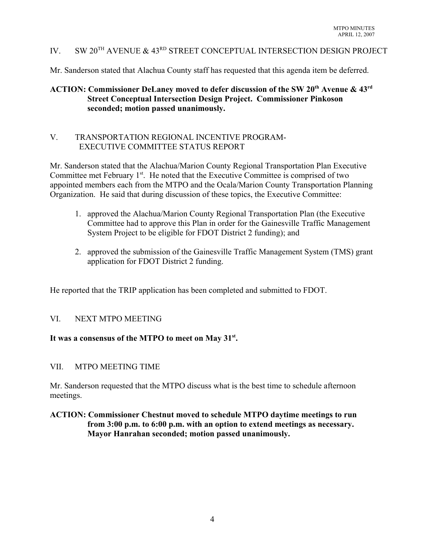# IV. SW 20TH AVENUE & 43RD STREET CONCEPTUAL INTERSECTION DESIGN PROJECT

Mr. Sanderson stated that Alachua County staff has requested that this agenda item be deferred.

# ACTION: Commissioner DeLaney moved to defer discussion of the SW 20<sup>th</sup> Avenue & 43<sup>rd</sup> **Street Conceptual Intersection Design Project. Commissioner Pinkoson seconded; motion passed unanimously.**

### V. TRANSPORTATION REGIONAL INCENTIVE PROGRAM- EXECUTIVE COMMITTEE STATUS REPORT

Mr. Sanderson stated that the Alachua/Marion County Regional Transportation Plan Executive Committee met February 1<sup>st</sup>. He noted that the Executive Committee is comprised of two appointed members each from the MTPO and the Ocala/Marion County Transportation Planning Organization. He said that during discussion of these topics, the Executive Committee:

- 1. approved the Alachua/Marion County Regional Transportation Plan (the Executive Committee had to approve this Plan in order for the Gainesville Traffic Management System Project to be eligible for FDOT District 2 funding); and
- 2. approved the submission of the Gainesville Traffic Management System (TMS) grant application for FDOT District 2 funding.

He reported that the TRIP application has been completed and submitted to FDOT.

### VI. NEXT MTPO MEETING

### **It was a consensus of the MTPO to meet on May 31st.**

### VII. MTPO MEETING TIME

Mr. Sanderson requested that the MTPO discuss what is the best time to schedule afternoon meetings.

### **ACTION: Commissioner Chestnut moved to schedule MTPO daytime meetings to run from 3:00 p.m. to 6:00 p.m. with an option to extend meetings as necessary. Mayor Hanrahan seconded; motion passed unanimously.**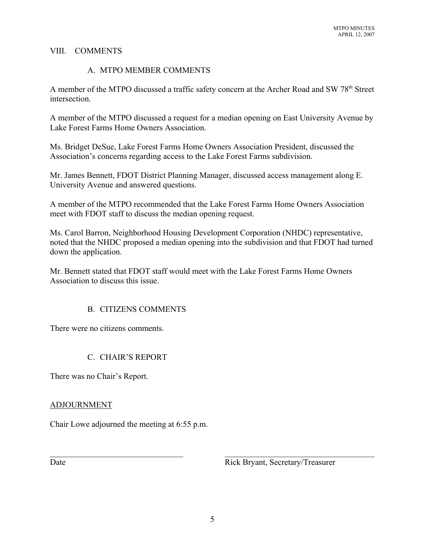### VIII. COMMENTS

### A. MTPO MEMBER COMMENTS

A member of the MTPO discussed a traffic safety concern at the Archer Road and SW 78<sup>th</sup> Street intersection.

A member of the MTPO discussed a request for a median opening on East University Avenue by Lake Forest Farms Home Owners Association.

Ms. Bridget DeSue, Lake Forest Farms Home Owners Association President, discussed the Association's concerns regarding access to the Lake Forest Farms subdivision.

Mr. James Bennett, FDOT District Planning Manager, discussed access management along E. University Avenue and answered questions.

A member of the MTPO recommended that the Lake Forest Farms Home Owners Association meet with FDOT staff to discuss the median opening request.

Ms. Carol Barron, Neighborhood Housing Development Corporation (NHDC) representative, noted that the NHDC proposed a median opening into the subdivision and that FDOT had turned down the application.

Mr. Bennett stated that FDOT staff would meet with the Lake Forest Farms Home Owners Association to discuss this issue.

# B. CITIZENS COMMENTS

There were no citizens comments.

# C. CHAIR'S REPORT

There was no Chair's Report.

### ADJOURNMENT

Chair Lowe adjourned the meeting at 6:55 p.m.

Date Rick Bryant, Secretary/Treasurer

 $\mathcal{L}_\text{max}$  , and the contribution of the contribution of the contribution of the contribution of the contribution of the contribution of the contribution of the contribution of the contribution of the contribution of t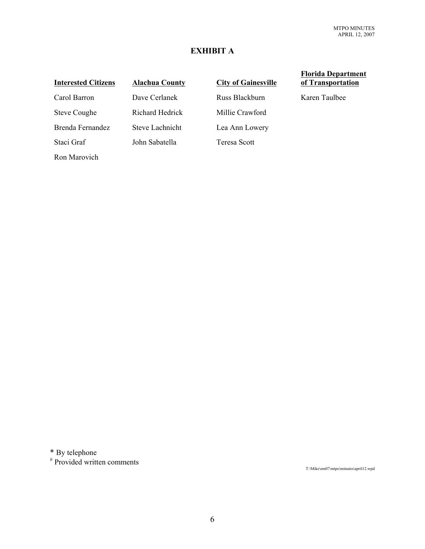# **EXHIBIT A**

Ron Marovich

Carol Barron Dave Cerlanek Russ Blackburn Karen Taulbee Steve Coughe Richard Hedrick Millie Crawford Brenda Fernandez Steve Lachnicht Lea Ann Lowery Staci Graf John Sabatella Teresa Scott

# **Interested Citizens Alachua County City of Gainesville**

### **Florida Department of Transportation**

\* By telephone

 $*$  Provided written comments

T:\Mike\em07\mtpo\minutes\april12.wpd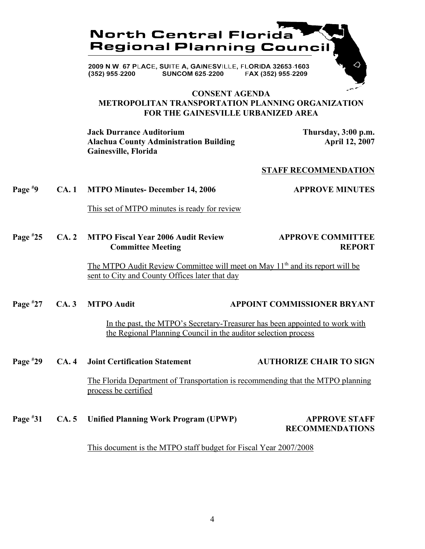

### **CONSENT AGENDA METROPOLITAN TRANSPORTATION PLANNING ORGANIZATION FOR THE GAINESVILLE URBANIZED AREA**

**Jack Durrance Auditorium Thursday, 3:00 p.m.** Alachua County Administration Building **Accounty April 12, 2007 Gainesville, Florida**

### **STAFF RECOMMENDATION**

**Page # 9 CA. 1 MTPO Minutes- December 14, 2006 4PPROVE MINUTES** 

This set of MTPO minutes is ready for review

**Page # 25 CA. 2 MTPO Fiscal Year 2006 Audit Review APPROVE COMMITTEE Committee Meeting Committee Meeting Committee Meeting Committee Meeting Committee REPORT** 

> The MTPO Audit Review Committee will meet on May 11<sup>th</sup> and its report will be sent to City and County Offices later that day

**Page # 27 CA. 3 MTPO Audit 49 CA. 3 MTPO Audit 49 CA. 3 MTPO Audit** 

> In the past, the MTPO's Secretary-Treasurer has been appointed to work with the Regional Planning Council in the auditor selection process

**Page # 29 CA. 4 Joint Certification Statement AUTHORIZE CHAIR TO SIGN**

> The Florida Department of Transportation is recommending that the MTPO planning process be certified

**Page # 31 CA. 5 Unified Planning Work Program (UPWP) APPROVE STAFF RECOMMENDATIONS**

This document is the MTPO staff budget for Fiscal Year 2007/2008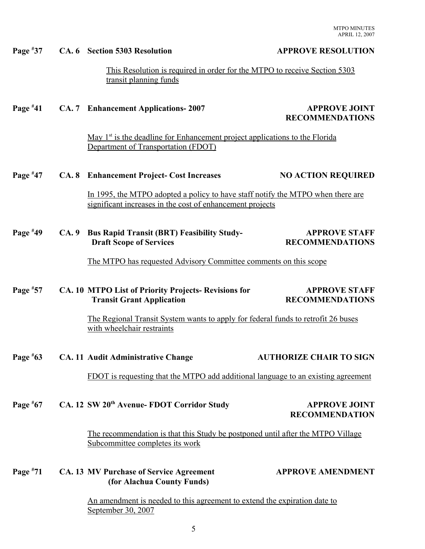MTPO MINUTES APRIL 12, 2007

|            |       | This Resolution is required in order for the MTPO to receive Section 5303<br>transit planning funds                                          |                                                |  |
|------------|-------|----------------------------------------------------------------------------------------------------------------------------------------------|------------------------------------------------|--|
| Page $*41$ |       | CA. 7 Enhancement Applications-2007                                                                                                          | <b>APPROVE JOINT</b><br><b>RECOMMENDATIONS</b> |  |
|            |       | May $1st$ is the deadline for Enhancement project applications to the Florida<br>Department of Transportation (FDOT)                         |                                                |  |
| Page $*47$ |       | <b>CA. 8</b> Enhancement Project- Cost Increases                                                                                             | <b>NO ACTION REQUIRED</b>                      |  |
|            |       | In 1995, the MTPO adopted a policy to have staff notify the MTPO when there are<br>significant increases in the cost of enhancement projects |                                                |  |
| Page $*49$ | CA. 9 | <b>Bus Rapid Transit (BRT) Feasibility Study-</b><br><b>Draft Scope of Services</b>                                                          | <b>APPROVE STAFF</b><br><b>RECOMMENDATIONS</b> |  |
|            |       | The MTPO has requested Advisory Committee comments on this scope                                                                             |                                                |  |
| Page $*57$ |       | CA. 10 MTPO List of Priority Projects-Revisions for<br><b>Transit Grant Application</b>                                                      | <b>APPROVE STAFF</b><br><b>RECOMMENDATIONS</b> |  |
|            |       | The Regional Transit System wants to apply for federal funds to retrofit 26 buses<br>with wheelchair restraints                              |                                                |  |
| Page $*63$ |       | <b>CA. 11 Audit Administrative Change</b>                                                                                                    | <b>AUTHORIZE CHAIR TO SIGN</b>                 |  |
|            |       | FDOT is requesting that the MTPO add additional language to an existing agreement                                                            |                                                |  |
| Page $*67$ |       | CA. 12 SW 20 <sup>th</sup> Avenue- FDOT Corridor Study                                                                                       | <b>APPROVE JOINT</b><br><b>RECOMMENDATION</b>  |  |
|            |       | The recommendation is that this Study be postponed until after the MTPO Village<br>Subcommittee completes its work                           |                                                |  |
| Page $*71$ |       | <b>CA. 13 MV Purchase of Service Agreement</b><br>(for Alachua County Funds)                                                                 | <b>APPROVE AMENDMENT</b>                       |  |

Page #37 CA. 6 Section 5303 Resolution **APPROVE RESOLUTION** 

An amendment is needed to this agreement to extend the expiration date to September 30, 2007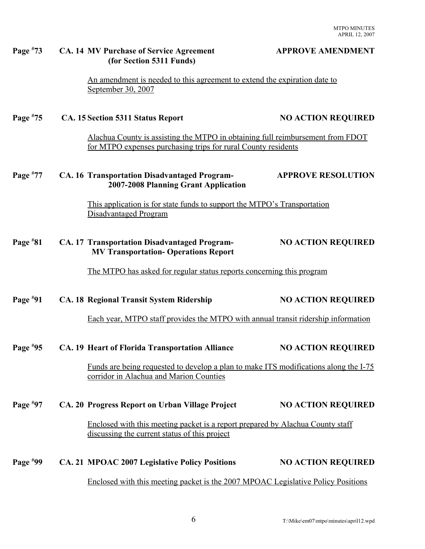### CA. 14 MV Purchase of Service Agreement **APPROVE AMENDMENT**

An amendment is needed to this agreement to extend the expiration date to September 30, 2007

### **Page # 75 CA. 15 Section 5311 Status Report NO ACTION REQUIRED**

 **(for Section 5311 Funds)**

**Page #**

Alachua County is assisting the MTPO in obtaining full reimbursement from FDOT for MTPO expenses purchasing trips for rural County residents

### **Page # 77 CA. 16 Transportation Disadvantaged Program- APPROVE RESOLUTION 2007-2008 Planning Grant Application**

This application is for state funds to support the MTPO's Transportation Disadvantaged Program

### **Page # 81 CA. 17 Transportation Disadvantaged Program- NO ACTION REQUIRED MV Transportation- Operations Report**

The MTPO has asked for regular status reports concerning this program

| Page $*91$ | <b>CA. 18 Regional Transit System Ridership</b>                                                                                 | <b>NO ACTION REQUIRED</b> |
|------------|---------------------------------------------------------------------------------------------------------------------------------|---------------------------|
|            | Each year, MTPO staff provides the MTPO with annual transit ridership information                                               |                           |
| Page $*95$ | CA. 19 Heart of Florida Transportation Alliance                                                                                 | <b>NO ACTION REQUIRED</b> |
|            | Funds are being requested to develop a plan to make ITS modifications along the I-75<br>corridor in Alachua and Marion Counties |                           |
| Page $*97$ | CA. 20 Progress Report on Urban Village Project                                                                                 | <b>NO ACTION REQUIRED</b> |
|            | Enclosed with this meeting packet is a report prepared by Alachua County staff<br>discussing the current status of this project |                           |
| Page $*99$ | CA. 21 MPOAC 2007 Legislative Policy Positions                                                                                  | <b>NO ACTION REQUIRED</b> |

Enclosed with this meeting packet is the 2007 MPOAC Legislative Policy Positions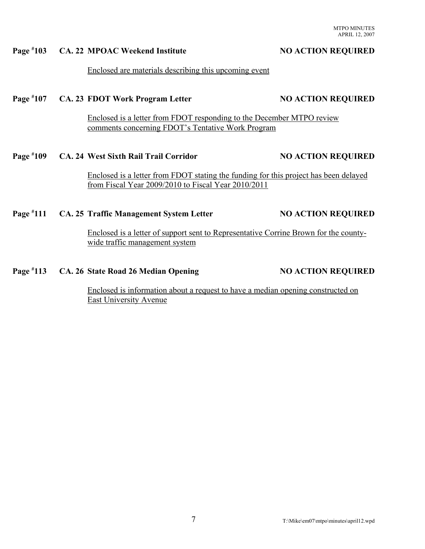### **Page # 103 CA. 22 MPOAC Weekend Institute 103 NO ACTION REQUIRED**

### Enclosed are materials describing this upcoming event

### **Page # 107 CA. 23 FDOT Work Program Letter NO ACTION REQUIRED**

Enclosed is a letter from FDOT responding to the December MTPO review comments concerning FDOT's Tentative Work Program

### **Page # 109 CA. 24 West Sixth Rail Trail Corridor NO ACTION REQUIRED**

Enclosed is a letter from FDOT stating the funding for this project has been delayed from Fiscal Year 2009/2010 to Fiscal Year 2010/2011

### **Page # 111 CA. 25 Traffic Management System Letter 1111 NO ACTION REQUIRED**

Enclosed is a letter of support sent to Representative Corrine Brown for the countywide traffic management system

### **Page #** CA. 26 State Road 26 Median Opening NO ACTION REQUIRED

Enclosed is information about a request to have a median opening constructed on East University Avenue